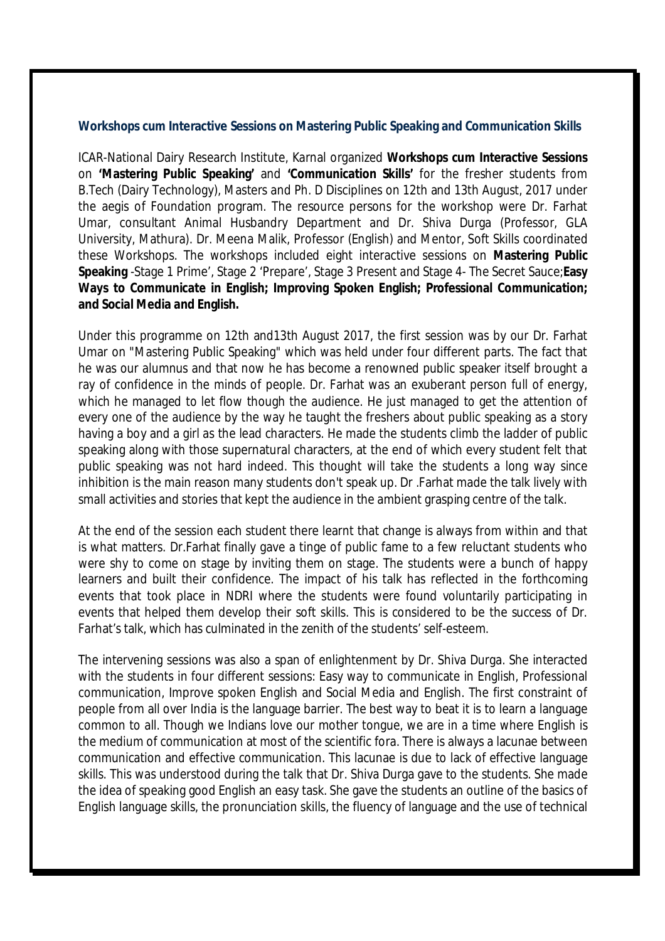## **Workshops cum Interactive Sessions on Mastering Public Speaking and Communication Skills**

ICAR-National Dairy Research Institute, Karnal organized **Workshops cum Interactive Sessions** on **'Mastering Public Speaking'** and **'Communication Skills'** for the fresher students from B.Tech (Dairy Technology), Masters and Ph. D Disciplines on 12th and 13th August, 2017 under the aegis of Foundation program. The resource persons for the workshop were Dr. Farhat Umar, consultant Animal Husbandry Department and Dr. Shiva Durga (Professor, GLA University, Mathura). Dr. Meena Malik, Professor (English) and Mentor, Soft Skills coordinated these Workshops. The workshops included eight interactive sessions on **Mastering Public Speaking** -Stage 1 Prime', Stage 2 'Prepare', Stage 3 Present and Stage 4- The Secret Sauce;**Easy Ways to Communicate in English; Improving Spoken English; Professional Communication; and Social Media and English.**

Under this programme on 12th and13th August 2017, the first session was by our Dr. Farhat Umar on "Mastering Public Speaking" which was held under four different parts. The fact that he was our alumnus and that now he has become a renowned public speaker itself brought a ray of confidence in the minds of people. Dr. Farhat was an exuberant person full of energy, which he managed to let flow though the audience. He just managed to get the attention of every one of the audience by the way he taught the freshers about public speaking as a story having a boy and a girl as the lead characters. He made the students climb the ladder of public speaking along with those supernatural characters, at the end of which every student felt that public speaking was not hard indeed. This thought will take the students a long way since inhibition is the main reason many students don't speak up. Dr .Farhat made the talk lively with small activities and stories that kept the audience in the ambient grasping centre of the talk.

At the end of the session each student there learnt that change is always from within and that is what matters. Dr.Farhat finally gave a tinge of public fame to a few reluctant students who were shy to come on stage by inviting them on stage. The students were a bunch of happy learners and built their confidence. The impact of his talk has reflected in the forthcoming events that took place in NDRI where the students were found voluntarily participating in events that helped them develop their soft skills. This is considered to be the success of Dr. Farhat's talk, which has culminated in the zenith of the students' self-esteem.

The intervening sessions was also a span of enlightenment by Dr. Shiva Durga. She interacted with the students in four different sessions: Easy way to communicate in English, Professional communication, Improve spoken English and Social Media and English. The first constraint of people from all over India is the language barrier. The best way to beat it is to learn a language common to all. Though we Indians love our mother tongue, we are in a time where English is the medium of communication at most of the scientific fora. There is always a lacunae between communication and effective communication. This lacunae is due to lack of effective language skills. This was understood during the talk that Dr. Shiva Durga gave to the students. She made the idea of speaking good English an easy task. She gave the students an outline of the basics of English language skills, the pronunciation skills, the fluency of language and the use of technical